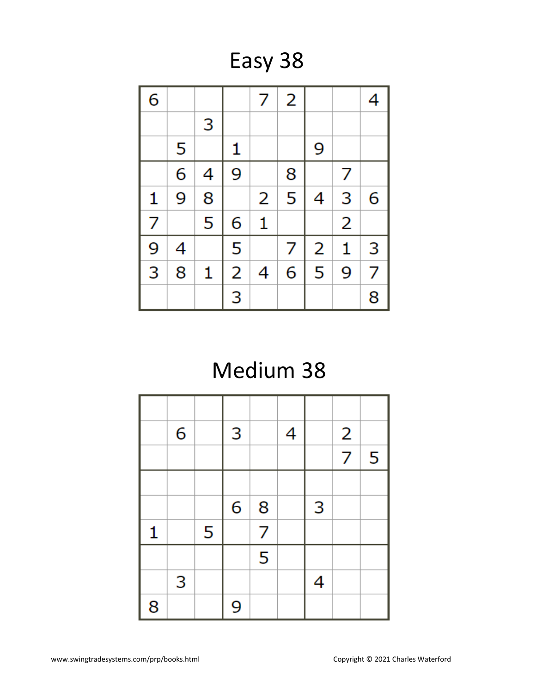Easy 38

| 6              |   |   |                | 7 | 2 |   |                | 4 |
|----------------|---|---|----------------|---|---|---|----------------|---|
|                |   | 3 |                |   |   |   |                |   |
|                | 5 |   | 1              |   |   | 9 |                |   |
|                | 6 | 4 | 9              |   | 8 |   | 7              |   |
| 1              | 9 | 8 |                | 2 | 5 | 4 | 3              | 6 |
| 7              |   | 5 | 6              | 1 |   |   | $\overline{2}$ |   |
| 9              | 4 |   | 5              |   | 7 | 2 | 1              | 3 |
| $\overline{3}$ | 8 | 1 | $\overline{2}$ | 4 | 6 | 5 | 9              | 7 |
|                |   |   | 3              |   |   |   |                | 8 |

## Medium 38

|   | 6 |   | 3 |   | 4 |   | $\overline{2}$ |   |
|---|---|---|---|---|---|---|----------------|---|
|   |   |   |   |   |   |   | $\overline{7}$ | 5 |
|   |   |   |   |   |   |   |                |   |
|   |   |   | 6 | 8 |   | 3 |                |   |
| 1 |   | 5 |   | 7 |   |   |                |   |
|   |   |   |   | 5 |   |   |                |   |
|   | 3 |   |   |   |   | 4 |                |   |
| 8 |   |   | 9 |   |   |   |                |   |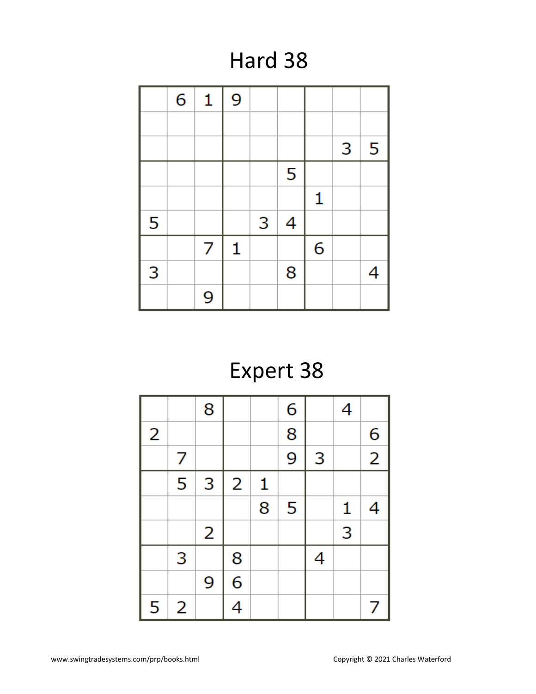### Hard 38

|   | 6 | 1 | 9            |   |                |   |   |   |
|---|---|---|--------------|---|----------------|---|---|---|
|   |   |   |              |   |                |   |   |   |
|   |   |   |              |   |                |   | 3 | 5 |
|   |   |   |              |   | 5              |   |   |   |
|   |   |   |              |   |                | 1 |   |   |
| 5 |   |   |              | 3 | $\overline{4}$ |   |   |   |
|   |   | 7 | $\mathbf{1}$ |   |                | 6 |   |   |
| 3 |   |   |              |   | 8              |   |   | 4 |
|   |   | 9 |              |   |                |   |   |   |

# Expert 38

|   |   | 8 |                |              | 6 |   | 4            |                |
|---|---|---|----------------|--------------|---|---|--------------|----------------|
| 2 |   |   |                |              | 8 |   |              | 6              |
|   | 7 |   |                |              | 9 | 3 |              | $\overline{2}$ |
|   | 5 | 3 | $\overline{2}$ | $\mathbf{1}$ |   |   |              |                |
|   |   |   |                | 8            | 5 |   | $\mathbf{1}$ | 4              |
|   |   | 2 |                |              |   |   | 3            |                |
|   | 3 |   | 8              |              |   | 4 |              |                |
|   |   | 9 | $\overline{6}$ |              |   |   |              |                |
| 5 | 2 |   | 4              |              |   |   |              | 7              |